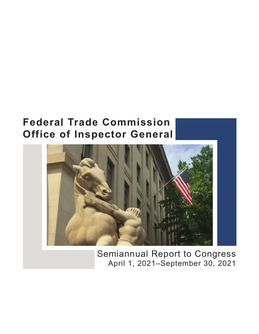# **Federal Trade Commission Office of Inspector General**



Semiannual Report to Congress April 1, 2021–September 30, 2021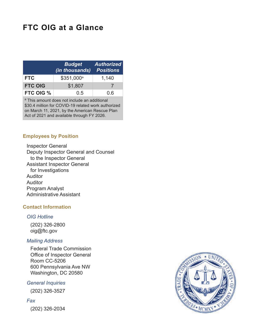## **FTC OIG at a Glance**

|                | <b>Budget</b><br>(in thousands) | <b>Authorized</b><br><b>Positions</b> |
|----------------|---------------------------------|---------------------------------------|
| <b>FTC</b>     | \$351,000 <sup>a</sup>          | 1,140                                 |
| <b>FTC OIG</b> | \$1,807                         |                                       |
| FTC OIG %      | 0.5                             | ი 6                                   |

<sup>a</sup> This amount does not include an additional \$30.4 million for COVID-19 related work authorized on March 11, 2021, by the American Rescue Plan Act of 2021 and available through FY 2026.

#### **Employees by Position**

Inspector General Deputy Inspector General and Counsel to the Inspector General Assistant Inspector General for Investigations Auditor Auditor Program Analyst Administrative Assistant

#### **Contact Information**

#### *OIG Hotline*

(202) 326-2800 [oig@ftc.gov](mailto:oig@ftc.gov)

#### *Mailing Address*

Federal Trade Commission Office of Inspector General Room CC-5206 600 Pennsylvania Ave NW Washington, DC 20580

#### *General Inquiries*

(202) 326-3527

#### *Fax*

(202) 326-2034

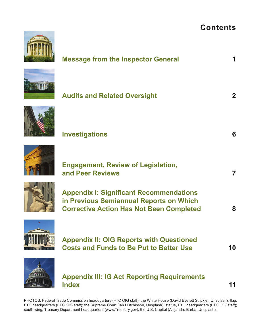## **Contents**

| <b>Message from the Inspector General</b>                                                                                                    |                         |
|----------------------------------------------------------------------------------------------------------------------------------------------|-------------------------|
| <b>Audits and Related Oversight</b>                                                                                                          | 2 <sup>1</sup>          |
| <b>Investigations</b>                                                                                                                        | 6                       |
| <b>Engagement, Review of Legislation,</b><br>and Peer Reviews                                                                                | $\overline{\mathbf{7}}$ |
| <b>Appendix I: Significant Recommendations</b><br>in Previous Semiannual Reports on Which<br><b>Corrective Action Has Not Been Completed</b> | 8                       |
| <b>Appendix II: OIG Reports with Questioned</b><br><b>Costs and Funds to Be Put to Better Use</b>                                            | 10                      |
|                                                                                                                                              |                         |

**[Index 11](#page-13-0)** 

PHOTOS: Federal Trade Commission headquarters (FTC OIG staff); the White House (David Everett Strickler, Unsplash); flag, FTC headquarters (FTC OIG staff); the Supreme Court (Ian Hutchinson, Unsplash); statue, FTC headquarters (FTC OIG staff); south wing, Treasury Department headquarters [\(www.Treasury.gov\)](www.Treasury.gov); the U.S. Capitol (Alejandro Barba, Unsplash).

**Appendix III: IG Act Reporting Requirements**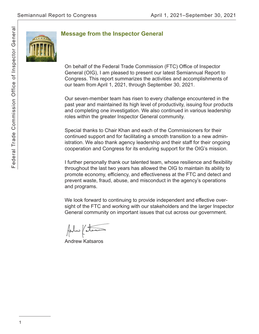<span id="page-3-0"></span>

### **Message from the Inspector General**

On behalf of the Federal Trade Commission (FTC) Office of Inspector General (OIG), I am pleased to present our latest Semiannual Report to Congress. This report summarizes the activities and accomplishments of our team from April 1, 2021, through September 30, 2021.

Our seven-member team has risen to every challenge encountered in the past year and maintained its high level of productivity, issuing four products and completing one investigation. We also continued in various leadership roles within the greater Inspector General community.

Special thanks to Chair Khan and each of the Commissioners for their continued support and for facilitating a smooth transition to a new administration. We also thank agency leadership and their staff for their ongoing cooperation and Congress for its enduring support for the OIG's mission.

I further personally thank our talented team, whose resilience and flexibility throughout the last two years has allowed the OIG to maintain its ability to promote economy, efficiency, and effectiveness at the FTC and detect and prevent waste, fraud, abuse, and misconduct in the agency's operations and programs.

We look forward to continuing to provide independent and effective oversight of the FTC and working with our stakeholders and the larger Inspector General community on important issues that cut across our government.

 $\#$ un (a

Andrew Katsaros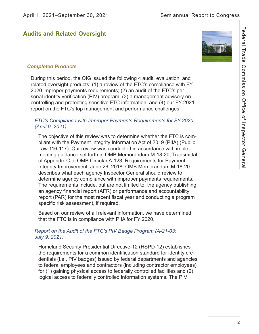## <span id="page-4-0"></span>**Audits and Related Oversight**



During this period, the OIG issued the following 4 audit, evaluation, and related oversight products: (1) a review of the FTC's compliance with FY 2020 improper payments requirements; (2) an audit of the FTC's personal identity verification (PIV) program; (3) a management advisory on controlling and protecting sensitive FTC information; and (4) our FY 2021 report on the FTC's top management and performance challenges.

#### *FTC's Compliance with Improper Payments Requirements for FY 2020 (April 9, 2021)*

The objective of this review was to determine whether the FTC is compliant with the Payment Integrity Information Act of 2019 (PIIA) (Public Law 116-117). Our review was conducted in accordance with implementing guidance set forth in OMB Memorandum M-18-20, Transmittal of Appendix C to OMB Circular A-123, Requirements for Payment Integrity Improvement, June 26, 2018. OMB Memorandum M-18-20 describes what each agency Inspector General should review to determine agency compliance with improper payments requirements. The requirements include, but are not limited to, the agency publishing an agency financial report (AFR) or performance and accountability report (PAR) for the most recent fiscal year and conducting a program specific risk assessment, if required.

Based on our review of all relevant information, we have determined that the FTC is in compliance with PIIA for FY 2020.

#### *Report on the Audit of the FTC's PIV Badge Program (A-21-03; July 9, 2021)*

Homeland Security Presidential Directive-12 (HSPD-12) establishes the requirements for a common identification standard for identity credentials (i.e., PIV badges) issued by federal departments and agencies to federal employees and contractors (including contractor employees) for (1) gaining physical access to federally controlled facilities and (2) logical access to federally controlled information systems. The PIV

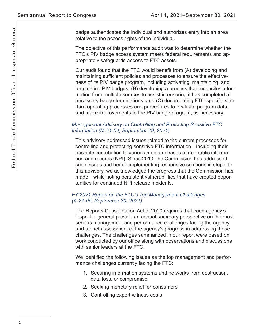badge authenticates the individual and authorizes entry into an area relative to the access rights of the individual.

The objective of this performance audit was to determine whether the FTC's PIV badge access system meets federal requirements and appropriately safeguards access to FTC assets.

 maintaining sufficient policies and processes to ensure the effective-Our audit found that the FTC would benefit from (A) developing and ness of its PIV badge program, including activating, maintaining, and terminating PIV badges; (B) developing a process that reconciles information from multiple sources to assist in ensuring it has completed all necessary badge terminations; and (C) documenting FTC-specific standard operating processes and procedures to evaluate program data and make improvements to the PIV badge program, as necessary.

#### *Management Advisory on Controlling and Protecting Sensitive FTC Information (M-21-04; September 29, 2021)*

This advisory addressed issues related to the current processes for controlling and protecting sensitive FTC information—including their possible contribution to various media releases of nonpublic information and records (NPI). Since 2013, the Commission has addressed such issues and begun implementing responsive solutions in steps. In this advisory, we acknowledged the progress that the Commission has made—while noting persistent vulnerabilities that have created opportunities for continued NPI release incidents.

#### *FY 2021 Report on the FTC's Top Management Challenges (A-21-05; September 30, 2021)*

 work conducted by our office along with observations and discussions The Reports Consolidation Act of 2000 requires that each agency's inspector general provide an annual summary perspective on the most serious management and performance challenges facing the agency, and a brief assessment of the agency's progress in addressing those challenges. The challenges summarized in our report were based on with senior leaders at the FTC.

We identified the following issues as the top management and performance challenges currently facing the FTC:

- 1. Securing information systems and networks from destruction, data loss, or compromise
- 2. Seeking monetary relief for consumers
- 3. Controlling expert witness costs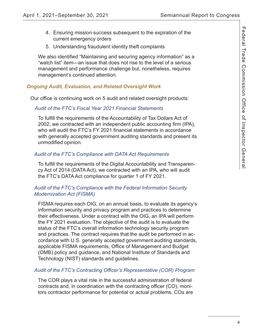- 4. Ensuring mission success subsequent to the expiration of the current emergency orders
- 5. Understanding fraudulent identity theft complaints

We also identified "Maintaining and securing agency information" as a "watch list" item—an issue that does not rise to the level of a serious management and performance challenge but, nonetheless, requires management's continued attention.

#### *Ongoing Audit, Evaluation, and Related Oversight Work*

Our office is continuing work on 5 audit and related oversight products:

#### *Audit of the FTC's Fiscal Year 2021 Financial Statements*

To fulfill the requirements of the Accountability of Tax Dollars Act of 2002, we contracted with an independent public accounting firm (IPA), who will audit the FTC's FY 2021 financial statements in accordance with generally accepted government auditing standards and present its unmodified opinion.

#### *Audit of the FTC's Compliance with DATA Act Requirements*

To fulfill the requirements of the Digital Accountability and Transparency Act of 2014 (DATA Act), we contracted with an IPA, who will audit the FTC's DATA Act compliance for quarter 1 of FY 2021.

#### *Audit of the FTC's Compliance with the Federal Information Security Modernization Act (FISMA)*

 applicable FISMA requirements, Office of Management and Budget FISMA requires each OIG, on an annual basis, to evaluate its agency's information security and privacy program and practices to determine their effectiveness. Under a contract with the OIG, an IPA will perform the FY 2021 evaluation. The objective of the audit is to evaluate the status of the FTC's overall information technology security program and practices. The contract requires that the audit be performed in accordance with U.S. generally accepted government auditing standards, (OMB) policy and guidance, and National Institute of Standards and Technology (NIST) standards and guidelines.

#### *Audit of the FTC's Contracting Officer's Representative (COR) Program*

The COR plays a vital role in the successful administration of federal contracts and, in coordination with the contracting officer (CO), monitors contractor performance for potential or actual problems. COs are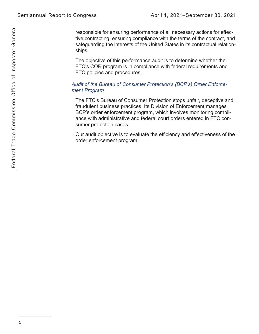responsible for ensuring performance of all necessary actions for effective contracting, ensuring compliance with the terms of the contract, and safeguarding the interests of the United States in its contractual relationships.

The objective of this performance audit is to determine whether the FTC's COR program is in compliance with federal requirements and FTC policies and procedures.

#### *Audit of the Bureau of Consumer Protection's (BCP's) Order Enforcement Program*

The FTC's Bureau of Consumer Protection stops unfair, deceptive and fraudulent business practices. Its Division of Enforcement manages BCP's order enforcement program, which involves monitoring compliance with administrative and federal court orders entered in FTC consumer protection cases.

Our audit objective is to evaluate the efficiency and effectiveness of the order enforcement program.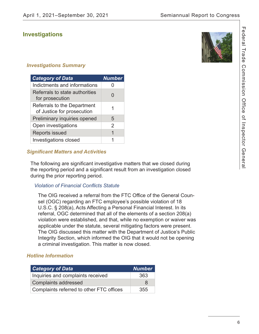### <span id="page-8-0"></span>**Investigations**

## *Investigations Summary*

| <b>Category of Data</b>                                   | <b>Number</b> |
|-----------------------------------------------------------|---------------|
| Indictments and informations                              |               |
| Referrals to state authorities<br>for prosecution         |               |
| Referrals to the Department<br>of Justice for prosecution |               |
| Preliminary inquiries opened                              | 5             |
| Open investigations                                       | 2             |
| <b>Reports issued</b>                                     |               |
| <b>Investigations closed</b>                              |               |

#### *Significant Matters and Activities*

The following are significant investigative matters that we closed during the reporting period and a significant result from an investigation closed during the prior reporting period.

#### *Violation of Financial Confl icts Statute*

 The OIG received a referral from the FTC Office of the General Counsel (OGC) regarding an FTC employee's possible violation of 18 U.S.C. § 208(a), Acts Affecting a Personal Financial Interest. In its referral, OGC determined that all of the elements of a section 208(a) violation were established, and that, while no exemption or waiver was applicable under the statute, several mitigating factors were present. The OIG discussed this matter with the Department of Justice's Public Integrity Section, which informed the OIG that it would not be opening a criminal investigation. This matter is now closed.

#### *Hotline Information*

| <b>Category of Data</b>                  | <b>Number</b> |
|------------------------------------------|---------------|
| Inquiries and complaints received        | 363           |
| <b>Complaints addressed</b>              | 8             |
| Complaints referred to other FTC offices | 355           |

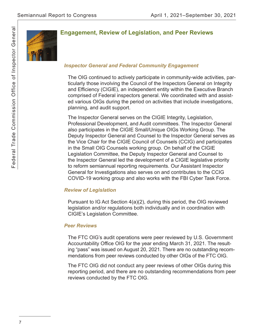<span id="page-9-0"></span>

## **Engagement, Review of Legislation, and Peer Reviews**

#### *Inspector General and Federal Community Engagement*

 and Efficiency (CIGIE), an independent entity within the Executive Branch The OIG continued to actively participate in community-wide activities, particularly those involving the Council of the Inspectors General on Integrity comprised of Federal inspectors general. We coordinated with and assisted various OIGs during the period on activities that include investigations, planning, and audit support.

The Inspector General serves on the CIGIE Integrity, Legislation, Professional Development, and Audit committees. The Inspector General also participates in the CIGIE Small/Unique OIGs Working Group. The Deputy Inspector General and Counsel to the Inspector General serves as the Vice Chair for the CIGIE Council of Counsels (CCIG) and participates in the Small OIG Counsels working group. On behalf of the CIGIE Legislation Committee, the Deputy Inspector General and Counsel to the Inspector General led the development of a CIGIE legislative priority to reform semiannual reporting requirements. Our Assistant Inspector General for Investigations also serves on and contributes to the CCIG COVID-19 working group and also works with the FBI Cyber Task Force.

#### *Review of Legislation*

Pursuant to IG Act Section 4(a)(2), during this period, the OIG reviewed legislation and/or regulations both individually and in coordination with CIGIE's Legislation Committee.

#### *Peer Reviews*

 Accountability Office OIG for the year ending March 31, 2021. The result-The FTC OIG's audit operations were peer reviewed by U.S. Government ing "pass" was issued on August 20, 2021. There are no outstanding recommendations from peer reviews conducted by other OIGs of the FTC OIG.

The FTC OIG did not conduct any peer reviews of other OIGs during this reporting period, and there are no outstanding recommendations from peer reviews conducted by the FTC OIG.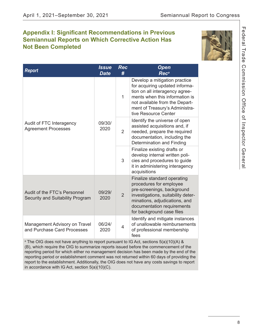## <span id="page-10-0"></span>**Appendix I: Significant Recommendations in Previous Semiannual Reports on Which Corrective Action Has Not Been Completed**



| <b>Report</b>                                                    | <b>Issue</b><br><b>Date</b> | <b>Rec</b><br># | <b>Open</b><br>Rec <sup>a</sup>                                                                                                                                                                                                 |
|------------------------------------------------------------------|-----------------------------|-----------------|---------------------------------------------------------------------------------------------------------------------------------------------------------------------------------------------------------------------------------|
| Audit of FTC Interagency<br><b>Agreement Processes</b>           | 09/30/<br>2020              | 1               | Develop a mitigation practice<br>for acquiring updated informa-<br>tion on all interagency agree-<br>ments when this information is<br>not available from the Depart-<br>ment of Treasury's Administra-<br>tive Resource Center |
|                                                                  |                             | $\overline{2}$  | Identify the universe of open<br>assisted acquisitions and, if<br>needed, prepare the required<br>documentation, including the<br><b>Determination and Finding</b>                                                              |
|                                                                  |                             | 3               | Finalize existing drafts or<br>develop internal written poli-<br>cies and procedures to guide<br>it in administering interagency<br>acquisitions                                                                                |
| Audit of the FTC's Personnel<br>Security and Suitability Program | 09/29/<br>2020              | $\overline{2}$  | Finalize standard operating<br>procedures for employee<br>pre-screenings, background<br>investigations, suitability deter-<br>minations, adjudications, and<br>documentation requirements<br>for background case files          |
| Management Advisory on Travel<br>and Purchase Card Processes     | 06/24/<br>2020              | 4               | Identify and mitigate instances<br>of unallowable reimbursements<br>of professional membership<br>fees                                                                                                                          |

<sup>a</sup> The OIG does not have anything to report pursuant to IG Act, sections 5(a)(10)(A) & (B), which require the OIG to summarize reports issued before the commencement of the reporting period for which either no management decision has been made by the end of the reporting period or establishment comment was not returned within 60 days of providing the report to the establishment. Additionally, the OIG does not have any costs savings to report in accordance with IG Act, section 5(a)(10)(C).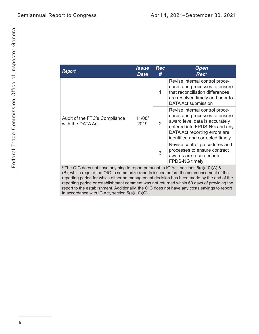| <b>Report</b>                                                                                    | Issue<br><b>Date</b> | <b>Rec</b><br># | <b>Open</b><br>Rec <sup>a</sup>                                                                                                                                                                       |
|--------------------------------------------------------------------------------------------------|----------------------|-----------------|-------------------------------------------------------------------------------------------------------------------------------------------------------------------------------------------------------|
| Audit of the FTC's Compliance<br>with the DATA Act                                               | 11/08/<br>2019       | 1               | Revise internal control proce-<br>dures and processes to ensure<br>that reconciliation differences<br>are resolved timely and prior to<br>DATA Act submission                                         |
|                                                                                                  |                      | $\overline{2}$  | Revise internal control proce-<br>dures and processes to ensure<br>award level data is accurately<br>entered into FPDS-NG and any<br>DATA Act reporting errors are<br>identified and corrected timely |
|                                                                                                  |                      | 3               | Revise control procedures and<br>processes to ensure contract<br>awards are recorded into<br><b>FPDS-NG timely</b>                                                                                    |
| <sup>a</sup> The OIG does not have anything to report pursuant to IG Act, sections 5(a)(10)(A) & |                      |                 |                                                                                                                                                                                                       |

 $^{\circ}$  The OIG does not have anything to report pursuant to IG Act, sections 5(a)(10)(A) & (B), which require the OIG to summarize reports issued before the commencement of the reporting period for which either no management decision has been made by the end of the reporting period or establishment comment was not returned within 60 days of providing the report to the establishment. Additionally, the OIG does not have any costs savings to report in accordance with IG Act, section 5(a)(10)(C).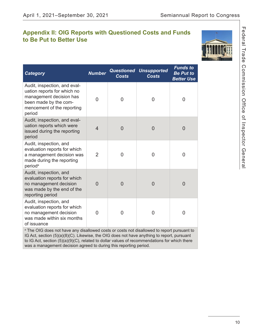## <span id="page-12-0"></span>**Appendix II: OIG Reports with Questioned Costs and Funds to Be Put to Better Use**



| <b>Category</b>                                                                                                                                         | <b>Number</b>  | <b>Costs</b>   | <b>Questioned Unsupported</b><br><b>Costs</b> | <b>Funds to</b><br><b>Be Put to</b><br><b>Better Use</b> |
|---------------------------------------------------------------------------------------------------------------------------------------------------------|----------------|----------------|-----------------------------------------------|----------------------------------------------------------|
| Audit, inspection, and eval-<br>uation reports for which no<br>management decision has<br>been made by the com-<br>mencement of the reporting<br>period | $\Omega$       | 0              | 0                                             | 0                                                        |
| Audit, inspection, and eval-<br>uation reports which were<br>issued during the reporting<br>period                                                      | $\overline{4}$ | 0              | 0                                             | $\overline{0}$                                           |
| Audit, inspection, and<br>evaluation reports for which<br>a management decision was<br>made during the reporting<br>period <sup>a</sup>                 | $\overline{2}$ | 0              | 0                                             | 0                                                        |
| Audit, inspection, and<br>evaluation reports for which<br>no management decision<br>was made by the end of the<br>reporting period                      | $\Omega$       | $\overline{0}$ | $\overline{0}$                                | $\overline{0}$                                           |
| Audit, inspection, and<br>evaluation reports for which<br>no management decision<br>was made within six months<br>of issuance                           | 0              | 0              | 0                                             | 0                                                        |

<sup>a</sup> The OIG does not have any disallowed costs or costs not disallowed to report pursuant to IG Act, section (5)(a)(8)(C). Likewise, the OIG does not have anything to report, pursuant to IG Act, section (5)(a)(9)(C), related to dollar values of recommendations for which there was a management decision agreed to during this reporting period.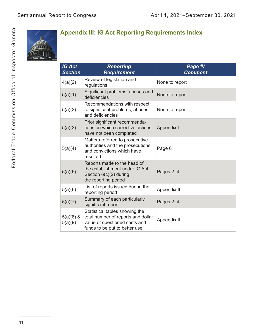<span id="page-13-0"></span>

## **Appendix III: IG Act Reporting Requirements Index**

| <b>IG Act</b><br><b>Section</b> | <b>Reporting</b><br><b>Requirement</b>                                                                                                 | Page #/<br><b>Comment</b> |
|---------------------------------|----------------------------------------------------------------------------------------------------------------------------------------|---------------------------|
| 4(a)(2)                         | Review of legislation and<br>regulations                                                                                               | None to report            |
| 5(a)(1)                         | Significant problems, abuses and<br>deficiencies                                                                                       | None to report            |
| 5(a)(2)                         | Recommendations with respect<br>to significant problems, abuses<br>and deficiencies                                                    | None to report            |
| 5(a)(3)                         | Prior significant recommenda-<br>tions on which corrective actions<br>have not been completed                                          | Appendix I                |
| 5(a)(4)                         | Matters referred to prosecutive<br>authorities and the prosecutions<br>and convictions which have<br>resulted                          | Page 6                    |
| 5(a)(5)                         | Reports made to the head of<br>the establishment under IG Act<br>Section 6(c)(2) during<br>the reporting period                        | Pages 2-4                 |
| 5(a)(6)                         | List of reports issued during the<br>reporting period                                                                                  | Appendix II               |
| 5(a)(7)                         | Summary of each particularly<br>significant report                                                                                     | Pages 2-4                 |
| $5(a)(8)$ &<br>5(a)(9)          | Statistical tables showing the<br>total number of reports and dollar<br>value of questioned costs and<br>funds to be put to better use | Appendix II               |